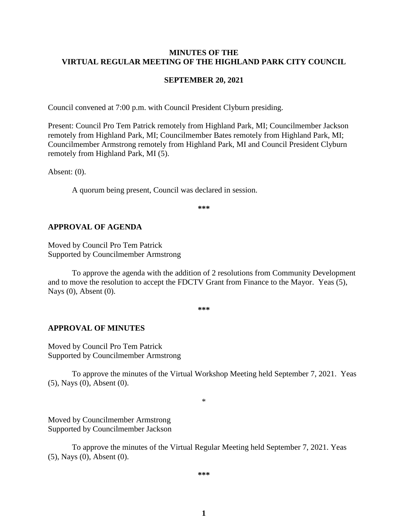#### **MINUTES OF THE VIRTUAL REGULAR MEETING OF THE HIGHLAND PARK CITY COUNCIL**

#### **SEPTEMBER 20, 2021**

Council convened at 7:00 p.m. with Council President Clyburn presiding.

Present: Council Pro Tem Patrick remotely from Highland Park, MI; Councilmember Jackson remotely from Highland Park, MI; Councilmember Bates remotely from Highland Park, MI; Councilmember Armstrong remotely from Highland Park, MI and Council President Clyburn remotely from Highland Park, MI (5).

Absent: (0).

A quorum being present, Council was declared in session.

**\*\*\***

#### **APPROVAL OF AGENDA**

Moved by Council Pro Tem Patrick Supported by Councilmember Armstrong

To approve the agenda with the addition of 2 resolutions from Community Development and to move the resolution to accept the FDCTV Grant from Finance to the Mayor. Yeas (5), Nays (0), Absent (0).

**\*\*\***

#### **APPROVAL OF MINUTES**

Moved by Council Pro Tem Patrick Supported by Councilmember Armstrong

To approve the minutes of the Virtual Workshop Meeting held September 7, 2021.Yeas (5), Nays (0), Absent (0).

\*

Moved by Councilmember Armstrong Supported by Councilmember Jackson

To approve the minutes of the Virtual Regular Meeting held September 7, 2021. Yeas (5), Nays (0), Absent (0).

**\*\*\***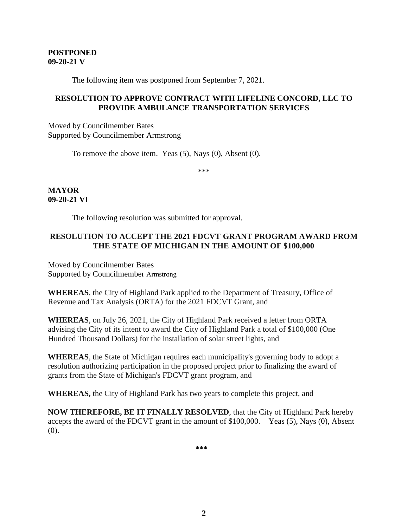#### **POSTPONED 09-20-21 V**

The following item was postponed from September 7, 2021.

#### **RESOLUTION TO APPROVE CONTRACT WITH LIFELINE CONCORD, LLC TO PROVIDE AMBULANCE TRANSPORTATION SERVICES**

Moved by Councilmember Bates Supported by Councilmember Armstrong

To remove the above item. Yeas (5), Nays (0), Absent (0).

\*\*\*

**MAYOR 09-20-21 VI**

The following resolution was submitted for approval.

## **RESOLUTION TO ACCEPT THE 2021 FDCVT GRANT PROGRAM AWARD FROM THE STATE OF MICHIGAN IN THE AMOUNT OF \$100,000**

Moved by Councilmember Bates Supported by Councilmember Armstrong

**WHEREAS**, the City of Highland Park applied to the Department of Treasury, Office of Revenue and Tax Analysis (ORTA) for the 2021 FDCVT Grant, and

**WHEREAS**, on July 26, 2021, the City of Highland Park received a letter from ORTA advising the City of its intent to award the City of Highland Park a total of \$100,000 (One Hundred Thousand Dollars) for the installation of solar street lights, and

**WHEREAS**, the State of Michigan requires each municipality's governing body to adopt a resolution authorizing participation in the proposed project prior to finalizing the award of grants from the State of Michigan's FDCVT grant program, and

**WHEREAS,** the City of Highland Park has two years to complete this project, and

**NOW THEREFORE, BE IT FINALLY RESOLVED**, that the City of Highland Park hereby accepts the award of the FDCVT grant in the amount of \$100,000. Yeas (5), Nays (0), Absent (0).

**\*\*\***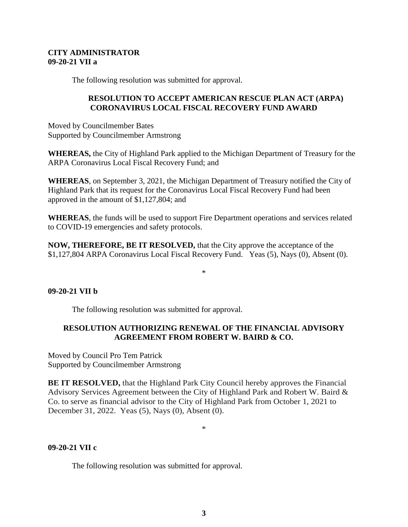#### **CITY ADMINISTRATOR 09-20-21 VII a**

The following resolution was submitted for approval.

### **RESOLUTION TO ACCEPT AMERICAN RESCUE PLAN ACT (ARPA) CORONAVIRUS LOCAL FISCAL RECOVERY FUND AWARD**

Moved by Councilmember Bates Supported by Councilmember Armstrong

**WHEREAS,** the City of Highland Park applied to the Michigan Department of Treasury for the ARPA Coronavirus Local Fiscal Recovery Fund; and

**WHEREAS**, on September 3, 2021, the Michigan Department of Treasury notified the City of Highland Park that its request for the Coronavirus Local Fiscal Recovery Fund had been approved in the amount of \$1,127,804; and

**WHEREAS**, the funds will be used to support Fire Department operations and services related to COVID-19 emergencies and safety protocols.

**NOW, THEREFORE, BE IT RESOLVED,** that the City approve the acceptance of the \$1,127,804 ARPA Coronavirus Local Fiscal Recovery Fund. Yeas (5), Nays (0), Absent (0).

#### \*

#### **09-20-21 VII b**

The following resolution was submitted for approval.

### **RESOLUTION AUTHORIZING RENEWAL OF THE FINANCIAL ADVISORY AGREEMENT FROM ROBERT W. BAIRD & CO.**

Moved by Council Pro Tem Patrick Supported by Councilmember Armstrong

**BE IT RESOLVED,** that the Highland Park City Council hereby approves the Financial Advisory Services Agreement between the City of Highland Park and Robert W. Baird & Co. to serve as financial advisor to the City of Highland Park from October 1, 2021 to December 31, 2022. Yeas (5), Nays (0), Absent (0).

\*

#### **09-20-21 VII c**

The following resolution was submitted for approval.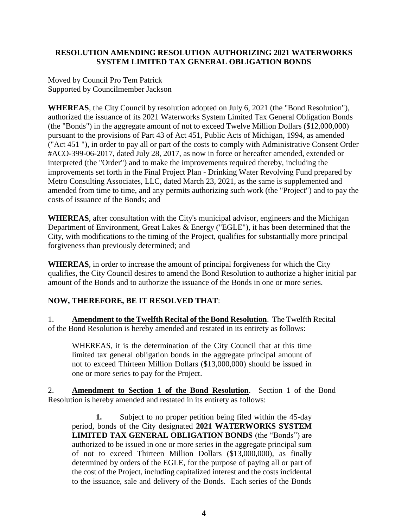### **RESOLUTION AMENDING RESOLUTION AUTHORIZING 2021 WATERWORKS SYSTEM LIMITED TAX GENERAL OBLIGATION BONDS**

Moved by Council Pro Tem Patrick Supported by Councilmember Jackson

**WHEREAS**, the City Council by resolution adopted on July 6, 2021 (the "Bond Resolution"), authorized the issuance of its 2021 Waterworks System Limited Tax General Obligation Bonds (the "Bonds") in the aggregate amount of not to exceed Twelve Million Dollars (\$12,000,000) pursuant to the provisions of Part 43 of Act 451, Public Acts of Michigan, 1994, as amended ("Act 451 "), in order to pay all or part of the costs to comply with Administrative Consent Order #ACO-399-06-2017, dated July 28, 2017, as now in force or hereafter amended, extended or interpreted (the "Order") and to make the improvements required thereby, including the improvements set forth in the Final Project Plan - Drinking Water Revolving Fund prepared by Metro Consulting Associates, LLC, dated March 23, 2021, as the same is supplemented and amended from time to time, and any permits authorizing such work (the "Project") and to pay the costs of issuance of the Bonds; and

**WHEREAS**, after consultation with the City's municipal advisor, engineers and the Michigan Department of Environment, Great Lakes & Energy ("EGLE"), it has been determined that the City, with modifications to the timing of the Project, qualifies for substantially more principal forgiveness than previously determined; and

**WHEREAS**, in order to increase the amount of principal forgiveness for which the City qualifies, the City Council desires to amend the Bond Resolution to authorize a higher initial par amount of the Bonds and to authorize the issuance of the Bonds in one or more series.

# **NOW, THEREFORE, BE IT RESOLVED THAT**:

1. **Amendment to the Twelfth Recital of the Bond Resolution**. The Twelfth Recital of the Bond Resolution is hereby amended and restated in its entirety as follows:

WHEREAS, it is the determination of the City Council that at this time limited tax general obligation bonds in the aggregate principal amount of not to exceed Thirteen Million Dollars (\$13,000,000) should be issued in one or more series to pay for the Project.

2. **Amendment to Section 1 of the Bond Resolution**. Section 1 of the Bond Resolution is hereby amended and restated in its entirety as follows:

**1.** Subject to no proper petition being filed within the 45-day period, bonds of the City designated **2021 WATERWORKS SYSTEM LIMITED TAX GENERAL OBLIGATION BONDS** (the "Bonds") are authorized to be issued in one or more series in the aggregate principal sum of not to exceed Thirteen Million Dollars (\$13,000,000), as finally determined by orders of the EGLE, for the purpose of paying all or part of the cost of the Project, including capitalized interest and the costs incidental to the issuance, sale and delivery of the Bonds. Each series of the Bonds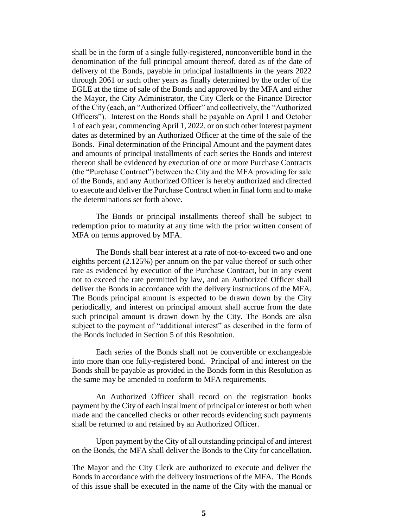shall be in the form of a single fully-registered, nonconvertible bond in the denomination of the full principal amount thereof, dated as of the date of delivery of the Bonds, payable in principal installments in the years 2022 through 2061 or such other years as finally determined by the order of the EGLE at the time of sale of the Bonds and approved by the MFA and either the Mayor, the City Administrator, the City Clerk or the Finance Director of the City (each, an "Authorized Officer" and collectively, the "Authorized Officers"). Interest on the Bonds shall be payable on April 1 and October 1 of each year, commencing April 1, 2022, or on such other interest payment dates as determined by an Authorized Officer at the time of the sale of the Bonds. Final determination of the Principal Amount and the payment dates and amounts of principal installments of each series the Bonds and interest thereon shall be evidenced by execution of one or more Purchase Contracts (the "Purchase Contract") between the City and the MFA providing for sale of the Bonds, and any Authorized Officer is hereby authorized and directed to execute and deliver the Purchase Contract when in final form and to make the determinations set forth above.

The Bonds or principal installments thereof shall be subject to redemption prior to maturity at any time with the prior written consent of MFA on terms approved by MFA.

The Bonds shall bear interest at a rate of not-to-exceed two and one eighths percent (2.125%) per annum on the par value thereof or such other rate as evidenced by execution of the Purchase Contract, but in any event not to exceed the rate permitted by law, and an Authorized Officer shall deliver the Bonds in accordance with the delivery instructions of the MFA. The Bonds principal amount is expected to be drawn down by the City periodically, and interest on principal amount shall accrue from the date such principal amount is drawn down by the City. The Bonds are also subject to the payment of "additional interest" as described in the form of the Bonds included in Section 5 of this Resolution.

Each series of the Bonds shall not be convertible or exchangeable into more than one fully-registered bond. Principal of and interest on the Bonds shall be payable as provided in the Bonds form in this Resolution as the same may be amended to conform to MFA requirements.

An Authorized Officer shall record on the registration books payment by the City of each installment of principal or interest or both when made and the cancelled checks or other records evidencing such payments shall be returned to and retained by an Authorized Officer.

Upon payment by the City of all outstanding principal of and interest on the Bonds, the MFA shall deliver the Bonds to the City for cancellation.

The Mayor and the City Clerk are authorized to execute and deliver the Bonds in accordance with the delivery instructions of the MFA. The Bonds of this issue shall be executed in the name of the City with the manual or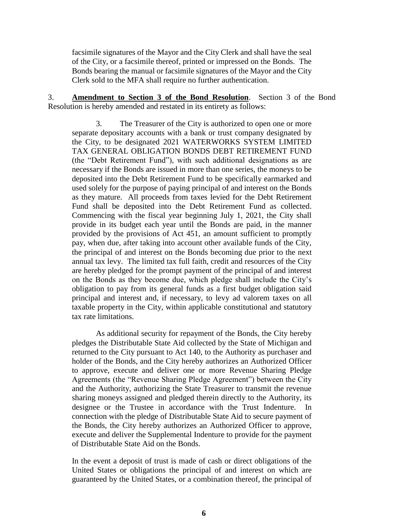facsimile signatures of the Mayor and the City Clerk and shall have the seal of the City, or a facsimile thereof, printed or impressed on the Bonds. The Bonds bearing the manual or facsimile signatures of the Mayor and the City Clerk sold to the MFA shall require no further authentication.

3. **Amendment to Section 3 of the Bond Resolution**. Section 3 of the Bond Resolution is hereby amended and restated in its entirety as follows:

3. The Treasurer of the City is authorized to open one or more separate depositary accounts with a bank or trust company designated by the City, to be designated 2021 WATERWORKS SYSTEM LIMITED TAX GENERAL OBLIGATION BONDS DEBT RETIREMENT FUND (the "Debt Retirement Fund"), with such additional designations as are necessary if the Bonds are issued in more than one series, the moneys to be deposited into the Debt Retirement Fund to be specifically earmarked and used solely for the purpose of paying principal of and interest on the Bonds as they mature. All proceeds from taxes levied for the Debt Retirement Fund shall be deposited into the Debt Retirement Fund as collected. Commencing with the fiscal year beginning July 1, 2021, the City shall provide in its budget each year until the Bonds are paid, in the manner provided by the provisions of Act 451, an amount sufficient to promptly pay, when due, after taking into account other available funds of the City, the principal of and interest on the Bonds becoming due prior to the next annual tax levy. The limited tax full faith, credit and resources of the City are hereby pledged for the prompt payment of the principal of and interest on the Bonds as they become due, which pledge shall include the City's obligation to pay from its general funds as a first budget obligation said principal and interest and, if necessary, to levy ad valorem taxes on all taxable property in the City, within applicable constitutional and statutory tax rate limitations.

As additional security for repayment of the Bonds, the City hereby pledges the Distributable State Aid collected by the State of Michigan and returned to the City pursuant to Act 140, to the Authority as purchaser and holder of the Bonds, and the City hereby authorizes an Authorized Officer to approve, execute and deliver one or more Revenue Sharing Pledge Agreements (the "Revenue Sharing Pledge Agreement") between the City and the Authority, authorizing the State Treasurer to transmit the revenue sharing moneys assigned and pledged therein directly to the Authority, its designee or the Trustee in accordance with the Trust Indenture. In connection with the pledge of Distributable State Aid to secure payment of the Bonds, the City hereby authorizes an Authorized Officer to approve, execute and deliver the Supplemental Indenture to provide for the payment of Distributable State Aid on the Bonds.

In the event a deposit of trust is made of cash or direct obligations of the United States or obligations the principal of and interest on which are guaranteed by the United States, or a combination thereof, the principal of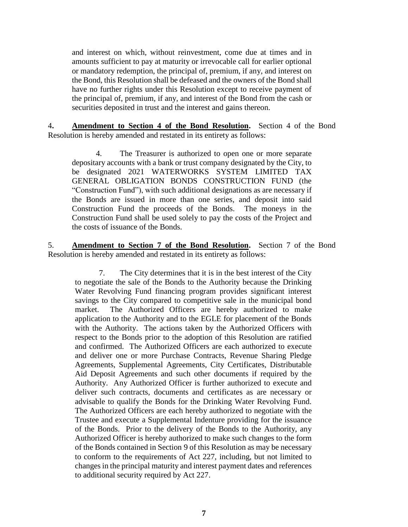and interest on which, without reinvestment, come due at times and in amounts sufficient to pay at maturity or irrevocable call for earlier optional or mandatory redemption, the principal of, premium, if any, and interest on the Bond, this Resolution shall be defeased and the owners of the Bond shall have no further rights under this Resolution except to receive payment of the principal of, premium, if any, and interest of the Bond from the cash or securities deposited in trust and the interest and gains thereon.

4**. Amendment to Section 4 of the Bond Resolution.** Section 4 of the Bond Resolution is hereby amended and restated in its entirety as follows:

4. The Treasurer is authorized to open one or more separate depositary accounts with a bank or trust company designated by the City, to be designated 2021 WATERWORKS SYSTEM LIMITED TAX GENERAL OBLIGATION BONDS CONSTRUCTION FUND (the "Construction Fund"), with such additional designations as are necessary if the Bonds are issued in more than one series, and deposit into said Construction Fund the proceeds of the Bonds. The moneys in the Construction Fund shall be used solely to pay the costs of the Project and the costs of issuance of the Bonds.

5. **Amendment to Section 7 of the Bond Resolution.** Section 7 of the Bond Resolution is hereby amended and restated in its entirety as follows:

7. The City determines that it is in the best interest of the City to negotiate the sale of the Bonds to the Authority because the Drinking Water Revolving Fund financing program provides significant interest savings to the City compared to competitive sale in the municipal bond market. The Authorized Officers are hereby authorized to make application to the Authority and to the EGLE for placement of the Bonds with the Authority. The actions taken by the Authorized Officers with respect to the Bonds prior to the adoption of this Resolution are ratified and confirmed. The Authorized Officers are each authorized to execute and deliver one or more Purchase Contracts, Revenue Sharing Pledge Agreements, Supplemental Agreements, City Certificates, Distributable Aid Deposit Agreements and such other documents if required by the Authority. Any Authorized Officer is further authorized to execute and deliver such contracts, documents and certificates as are necessary or advisable to qualify the Bonds for the Drinking Water Revolving Fund. The Authorized Officers are each hereby authorized to negotiate with the Trustee and execute a Supplemental Indenture providing for the issuance of the Bonds. Prior to the delivery of the Bonds to the Authority, any Authorized Officer is hereby authorized to make such changes to the form of the Bonds contained in Section 9 of this Resolution as may be necessary to conform to the requirements of Act 227, including, but not limited to changes in the principal maturity and interest payment dates and references to additional security required by Act 227.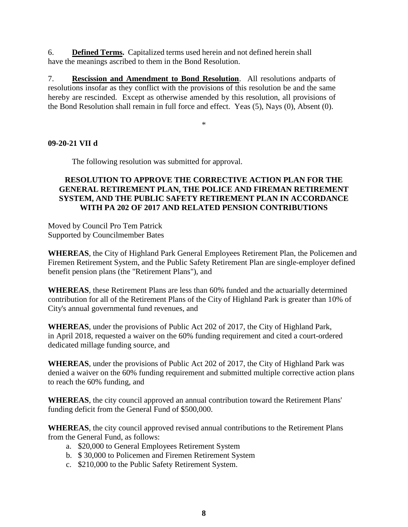6. **Defined Terms.** Capitalized terms used herein and not defined herein shall have the meanings ascribed to them in the Bond Resolution.

7. **Rescission and Amendment to Bond Resolution**. All resolutions andparts of resolutions insofar as they conflict with the provisions of this resolution be and the same hereby are rescinded. Except as otherwise amended by this resolution, all provisions of the Bond Resolution shall remain in full force and effect. Yeas (5), Nays (0), Absent (0).

\*

### **09-20-21 VII d**

The following resolution was submitted for approval.

#### **RESOLUTION TO APPROVE THE CORRECTIVE ACTION PLAN FOR THE GENERAL RETIREMENT PLAN, THE POLICE AND FIREMAN RETIREMENT SYSTEM, AND THE PUBLIC SAFETY RETIREMENT PLAN IN ACCORDANCE WITH PA 202 OF 2017 AND RELATED PENSION CONTRIBUTIONS**

Moved by Council Pro Tem Patrick Supported by Councilmember Bates

**WHEREAS**, the City of Highland Park General Employees Retirement Plan, the Policemen and Firemen Retirement System, and the Public Safety Retirement Plan are single-employer defined benefit pension plans (the "Retirement Plans"), and

**WHEREAS**, these Retirement Plans are less than 60% funded and the actuarially determined contribution for all of the Retirement Plans of the City of Highland Park is greater than 10% of City's annual governmental fund revenues, and

**WHEREAS**, under the provisions of Public Act 202 of 2017, the City of Highland Park, in April 2018, requested a waiver on the 60% funding requirement and cited a court-ordered dedicated millage funding source, and

**WHEREAS**, under the provisions of Public Act 202 of 2017, the City of Highland Park was denied a waiver on the 60% funding requirement and submitted multiple corrective action plans to reach the 60% funding, and

**WHEREAS**, the city council approved an annual contribution toward the Retirement Plans' funding deficit from the General Fund of \$500,000.

**WHEREAS**, the city council approved revised annual contributions to the Retirement Plans from the General Fund, as follows:

- a. \$20,000 to General Employees Retirement System
- b. \$ 30,000 to Policemen and Firemen Retirement System
- c. \$210,000 to the Public Safety Retirement System.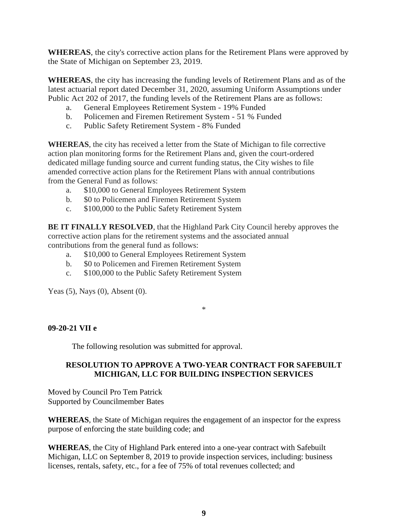**WHEREAS**, the city's corrective action plans for the Retirement Plans were approved by the State of Michigan on September 23, 2019.

**WHEREAS**, the city has increasing the funding levels of Retirement Plans and as of the latest actuarial report dated December 31, 2020, assuming Uniform Assumptions under Public Act 202 of 2017, the funding levels of the Retirement Plans are as follows:

- a. General Employees Retirement System 19% Funded
- b. Policemen and Firemen Retirement System 51 % Funded
- c. Public Safety Retirement System 8% Funded

**WHEREAS**, the city has received a letter from the State of Michigan to file corrective action plan monitoring forms for the Retirement Plans and, given the court-ordered dedicated millage funding source and current funding status, the City wishes to file amended corrective action plans for the Retirement Plans with annual contributions from the General Fund as follows:

- a. \$10,000 to General Employees Retirement System
- b. \$0 to Policemen and Firemen Retirement System
- c. \$100,000 to the Public Safety Retirement System

**BE IT FINALLY RESOLVED**, that the Highland Park City Council hereby approves the corrective action plans for the retirement systems and the associated annual contributions from the general fund as follows:

- a. \$10,000 to General Employees Retirement System
- b. \$0 to Policemen and Firemen Retirement System
- c. \$100,000 to the Public Safety Retirement System

Yeas (5), Nays (0), Absent (0).

\*

### **09-20-21 VII e**

The following resolution was submitted for approval.

### **RESOLUTION TO APPROVE A TWO-YEAR CONTRACT FOR SAFEBUILT MICHIGAN, LLC FOR BUILDING INSPECTION SERVICES**

Moved by Council Pro Tem Patrick Supported by Councilmember Bates

**WHEREAS**, the State of Michigan requires the engagement of an inspector for the express purpose of enforcing the state building code; and

**WHEREAS**, the City of Highland Park entered into a one-year contract with Safebuilt Michigan, LLC on September 8, 2019 to provide inspection services, including: business licenses, rentals, safety, etc., for a fee of 75% of total revenues collected; and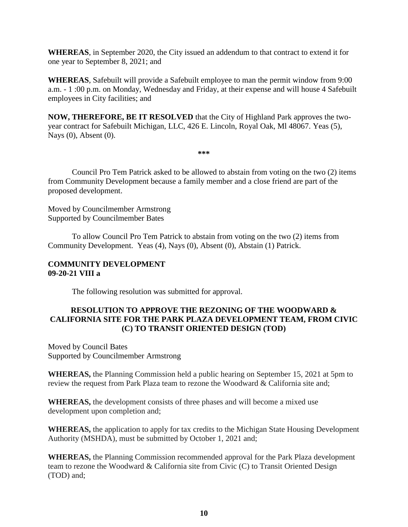**WHEREAS**, in September 2020, the City issued an addendum to that contract to extend it for one year to September 8, 2021; and

**WHEREAS**, Safebuilt will provide a Safebuilt employee to man the permit window from 9:00 a.m. - 1 :00 p.m. on Monday, Wednesday and Friday, at their expense and will house 4 Safebuilt employees in City facilities; and

**NOW, THEREFORE, BE IT RESOLVED** that the City of Highland Park approves the twoyear contract for Safebuilt Michigan, LLC, 426 E. Lincoln, Royal Oak, Ml 48067. Yeas (5), Nays (0), Absent (0).

**\*\*\***

Council Pro Tem Patrick asked to be allowed to abstain from voting on the two (2) items from Community Development because a family member and a close friend are part of the proposed development.

Moved by Councilmember Armstrong Supported by Councilmember Bates

To allow Council Pro Tem Patrick to abstain from voting on the two (2) items from Community Development. Yeas (4), Nays (0), Absent (0), Abstain (1) Patrick.

#### **COMMUNITY DEVELOPMENT 09-20-21 VIII a**

The following resolution was submitted for approval.

### **RESOLUTION TO APPROVE THE REZONING OF THE WOODWARD & CALIFORNIA SITE FOR THE PARK PLAZA DEVELOPMENT TEAM, FROM CIVIC (C) TO TRANSIT ORIENTED DESIGN (TOD)**

Moved by Council Bates Supported by Councilmember Armstrong

**WHEREAS,** the Planning Commission held a public hearing on September 15, 2021 at 5pm to review the request from Park Plaza team to rezone the Woodward & California site and;

**WHEREAS,** the development consists of three phases and will become a mixed use development upon completion and;

**WHEREAS,** the application to apply for tax credits to the Michigan State Housing Development Authority (MSHDA), must be submitted by October 1, 2021 and;

**WHEREAS,** the Planning Commission recommended approval for the Park Plaza development team to rezone the Woodward & California site from Civic (C) to Transit Oriented Design (TOD) and;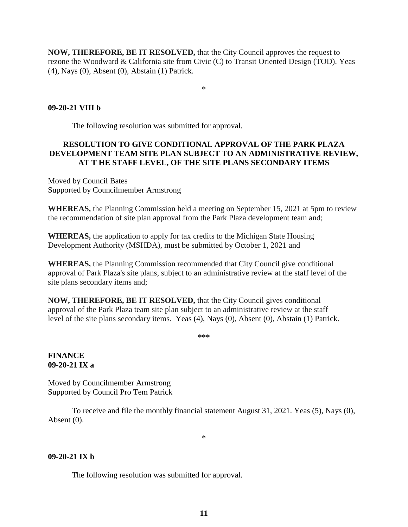**NOW, THEREFORE, BE IT RESOLVED,** that the City Council approves the request to rezone the Woodward & California site from Civic (C) to Transit Oriented Design (TOD). Yeas (4), Nays (0), Absent (0), Abstain (1) Patrick.

\*

### **09-20-21 VIII b**

The following resolution was submitted for approval.

### **RESOLUTION TO GIVE CONDITIONAL APPROVAL OF THE PARK PLAZA DEVELOPMENT TEAM SITE PLAN SUBJECT TO AN ADMINISTRATIVE REVIEW, AT T HE STAFF LEVEL, OF THE SITE PLANS SECONDARY ITEMS**

Moved by Council Bates Supported by Councilmember Armstrong

**WHEREAS,** the Planning Commission held a meeting on September 15, 2021 at 5pm to review the recommendation of site plan approval from the Park Plaza development team and;

**WHEREAS,** the application to apply for tax credits to the Michigan State Housing Development Authority (MSHDA), must be submitted by October 1, 2021 and

**WHEREAS,** the Planning Commission recommended that City Council give conditional approval of Park Plaza's site plans, subject to an administrative review at the staff level of the site plans secondary items and;

**NOW, THEREFORE, BE IT RESOLVED,** that the City Council gives conditional approval of the Park Plaza team site plan subject to an administrative review at the staff level of the site plans secondary items. Yeas (4), Nays (0), Absent (0), Abstain (1) Patrick.

**\*\*\***

#### **FINANCE 09-20-21 IX a**

Moved by Councilmember Armstrong Supported by Council Pro Tem Patrick

To receive and file the monthly financial statement August 31, 2021. Yeas (5), Nays (0), Absent (0).

\*

#### **09-20-21 IX b**

The following resolution was submitted for approval.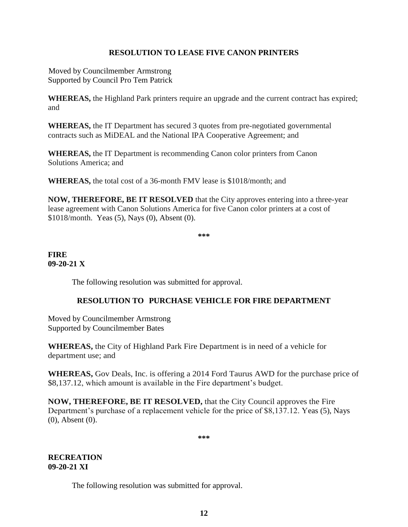## **RESOLUTION TO LEASE FIVE CANON PRINTERS**

Moved by Councilmember Armstrong Supported by Council Pro Tem Patrick

**WHEREAS,** the Highland Park printers require an upgrade and the current contract has expired; and

**WHEREAS,** the IT Department has secured 3 quotes from pre-negotiated governmental contracts such as MiDEAL and the National IPA Cooperative Agreement; and

**WHEREAS,** the IT Department is recommending Canon color printers from Canon Solutions America; and

**WHEREAS,** the total cost of a 36-month FMV lease is \$1018/month; and

**NOW, THEREFORE, BE IT RESOLVED** that the City approves entering into a three-year lease agreement with Canon Solutions America for five Canon color printers at a cost of \$1018/month.Yeas (5), Nays (0), Absent (0).

**\*\*\***

#### **FIRE 09-20-21 X**

The following resolution was submitted for approval.

### **RESOLUTION TO PURCHASE VEHICLE FOR FIRE DEPARTMENT**

Moved by Councilmember Armstrong Supported by Councilmember Bates

**WHEREAS,** the City of Highland Park Fire Department is in need of a vehicle for department use; and

**WHEREAS,** Gov Deals, Inc. is offering a 2014 Ford Taurus AWD for the purchase price of \$8,137.12, which amount is available in the Fire department's budget.

**NOW, THEREFORE, BE IT RESOLVED,** that the City Council approves the Fire Department's purchase of a replacement vehicle for the price of \$8,137.12. Yeas (5), Nays (0), Absent (0).

**\*\*\***

### **RECREATION 09-20-21 XI**

The following resolution was submitted for approval.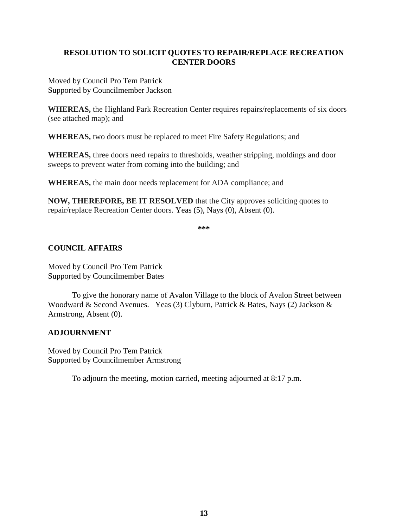## **RESOLUTION TO SOLICIT QUOTES TO REPAIR/REPLACE RECREATION CENTER DOORS**

Moved by Council Pro Tem Patrick Supported by Councilmember Jackson

**WHEREAS,** the Highland Park Recreation Center requires repairs/replacements of six doors (see attached map); and

**WHEREAS,** two doors must be replaced to meet Fire Safety Regulations; and

**WHEREAS,** three doors need repairs to thresholds, weather stripping, moldings and door sweeps to prevent water from coming into the building; and

**WHEREAS,** the main door needs replacement for ADA compliance; and

**NOW, THEREFORE, BE IT RESOLVED** that the City approves soliciting quotes to repair/replace Recreation Center doors. Yeas (5), Nays (0), Absent (0).

**\*\*\***

### **COUNCIL AFFAIRS**

Moved by Council Pro Tem Patrick Supported by Councilmember Bates

To give the honorary name of Avalon Village to the block of Avalon Street between Woodward & Second Avenues. Yeas (3) Clyburn, Patrick & Bates, Nays (2) Jackson & Armstrong, Absent (0).

#### **ADJOURNMENT**

Moved by Council Pro Tem Patrick Supported by Councilmember Armstrong

To adjourn the meeting, motion carried, meeting adjourned at 8:17 p.m.